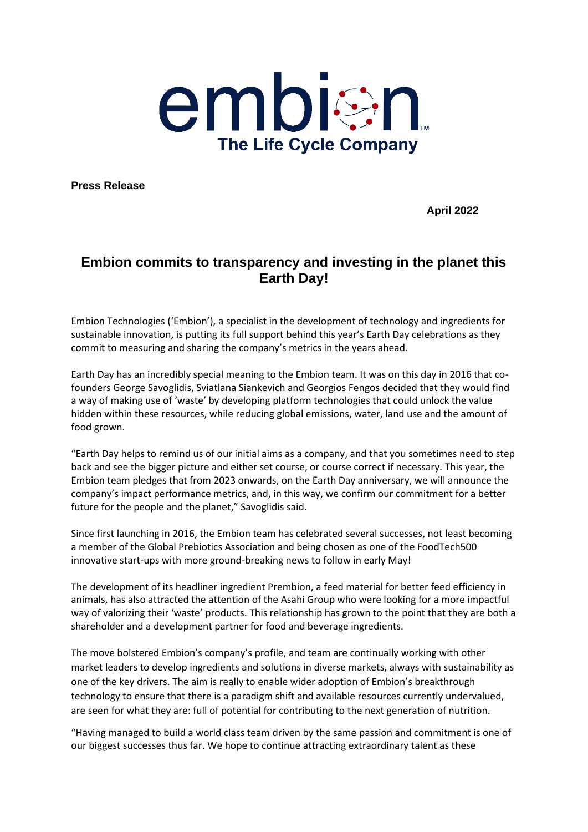

**Press Release** 

**April 2022**

## **Embion commits to transparency and investing in the planet this Earth Day!**

Embion Technologies ('Embion'), a specialist in the development of technology and ingredients for sustainable innovation, is putting its full support behind this year's Earth Day celebrations as they commit to measuring and sharing the company's metrics in the years ahead.

Earth Day has an incredibly special meaning to the Embion team. It was on this day in 2016 that cofounders George Savoglidis, Sviatlana Siankevich and Georgios Fengos decided that they would find a way of making use of 'waste' by developing platform technologies that could unlock the value hidden within these resources, while reducing global emissions, water, land use and the amount of food grown.

"Earth Day helps to remind us of our initial aims as a company, and that you sometimes need to step back and see the bigger picture and either set course, or course correct if necessary. This year, the Embion team pledges that from 2023 onwards, on the Earth Day anniversary, we will announce the company's impact performance metrics, and, in this way, we confirm our commitment for a better future for the people and the planet," Savoglidis said.

Since first launching in 2016, the Embion team has celebrated several successes, not least becoming a member of the Global Prebiotics Association and being chosen as one of the FoodTech500 innovative start-ups with more ground-breaking news to follow in early May!

The development of its headliner ingredient Prembion, a feed material for better feed efficiency in animals, has also attracted the attention of the Asahi Group who were looking for a more impactful way of valorizing their 'waste' products. This relationship has grown to the point that they are both a shareholder and a development partner for food and beverage ingredients.

The move bolstered Embion's company's profile, and team are continually working with other market leaders to develop ingredients and solutions in diverse markets, always with sustainability as one of the key drivers. The aim is really to enable wider adoption of Embion's breakthrough technology to ensure that there is a paradigm shift and available resources currently undervalued, are seen for what they are: full of potential for contributing to the next generation of nutrition.

"Having managed to build a world class team driven by the same passion and commitment is one of our biggest successes thus far. We hope to continue attracting extraordinary talent as these